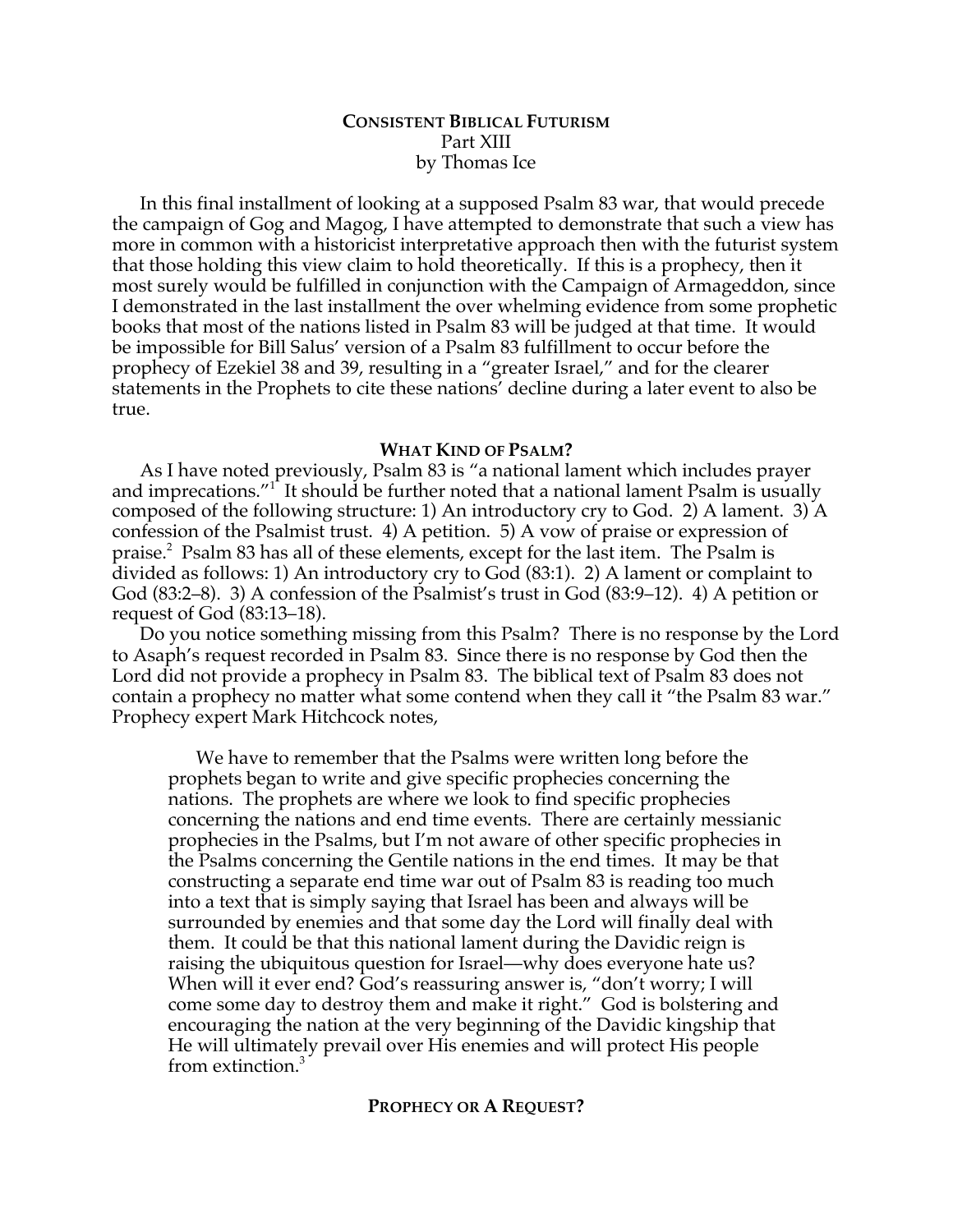# **CONSISTENT BIBLICAL FUTURISM** Part XIII by Thomas Ice

In this final installment of looking at a supposed Psalm 83 war, that would precede the campaign of Gog and Magog, I have attempted to demonstrate that such a view has more in common with a historicist interpretative approach then with the futurist system that those holding this view claim to hold theoretically. If this is a prophecy, then it most surely would be fulfilled in conjunction with the Campaign of Armageddon, since I demonstrated in the last installment the over whelming evidence from some prophetic books that most of the nations listed in Psalm 83 will be judged at that time. It would be impossible for Bill Salus' version of a Psalm 83 fulfillment to occur before the prophecy of Ezekiel 38 and 39, resulting in a "greater Israel," and for the clearer statements in the Prophets to cite these nations' decline during a later event to also be true.

# **WHAT KIND OF PSALM?**

As I have noted previously, Psalm 83 is "a national lament which includes prayer and imprecations."<sup>1</sup> It should be further noted that a national lament Psalm is usually composed of the following structure: 1) An introductory cry to God. 2) A lament. 3) A confession of the Psalmist trust. 4) A petition. 5) A vow of praise or expression of praise.<sup>2</sup> Psalm 83 has all of these elements, except for the last item. The Psalm is divided as follows: 1) An introductory cry to God (83:1). 2) A lament or complaint to God (83:2–8). 3) A confession of the Psalmist's trust in God (83:9–12). 4) A petition or request of God (83:13–18).

Do you notice something missing from this Psalm? There is no response by the Lord to Asaph's request recorded in Psalm 83. Since there is no response by God then the Lord did not provide a prophecy in Psalm 83. The biblical text of Psalm 83 does not contain a prophecy no matter what some contend when they call it "the Psalm 83 war." Prophecy expert Mark Hitchcock notes,

We have to remember that the Psalms were written long before the prophets began to write and give specific prophecies concerning the nations. The prophets are where we look to find specific prophecies concerning the nations and end time events. There are certainly messianic prophecies in the Psalms, but I'm not aware of other specific prophecies in the Psalms concerning the Gentile nations in the end times. It may be that constructing a separate end time war out of Psalm 83 is reading too much into a text that is simply saying that Israel has been and always will be surrounded by enemies and that some day the Lord will finally deal with them. It could be that this national lament during the Davidic reign is raising the ubiquitous question for Israel—why does everyone hate us? When will it ever end? God's reassuring answer is, "don't worry; I will come some day to destroy them and make it right." God is bolstering and encouraging the nation at the very beginning of the Davidic kingship that He will ultimately prevail over His enemies and will protect His people from extinction.<sup>3</sup>

### **PROPHECY OR A REQUEST?**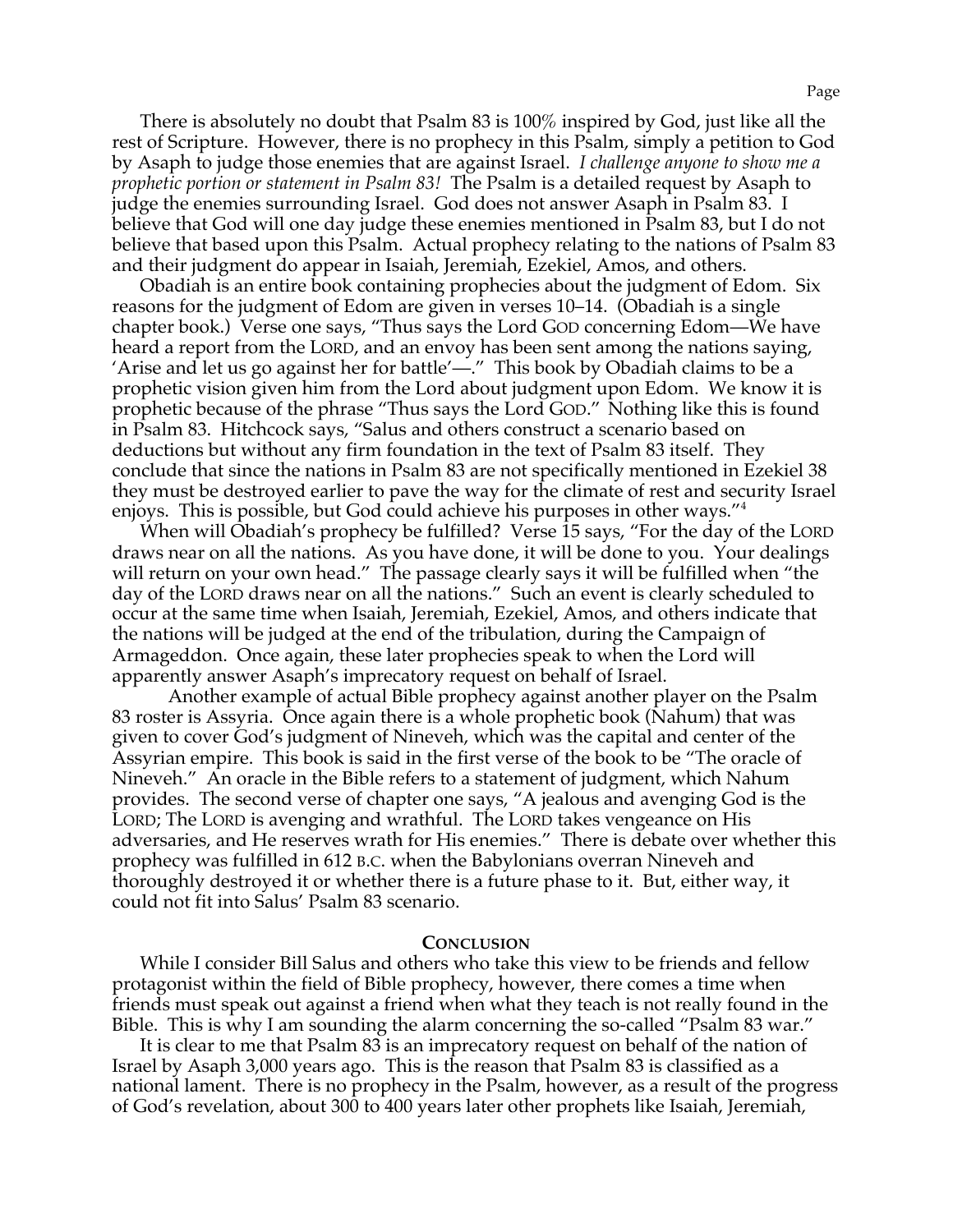There is absolutely no doubt that Psalm 83 is 100% inspired by God, just like all the rest of Scripture. However, there is no prophecy in this Psalm, simply a petition to God by Asaph to judge those enemies that are against Israel. *I challenge anyone to show me a prophetic portion or statement in Psalm 83!* The Psalm is a detailed request by Asaph to judge the enemies surrounding Israel. God does not answer Asaph in Psalm 83. I believe that God will one day judge these enemies mentioned in Psalm 83, but I do not believe that based upon this Psalm. Actual prophecy relating to the nations of Psalm 83 and their judgment do appear in Isaiah, Jeremiah, Ezekiel, Amos, and others.

Obadiah is an entire book containing prophecies about the judgment of Edom. Six reasons for the judgment of Edom are given in verses 10–14. (Obadiah is a single chapter book.) Verse one says, "Thus says the Lord GOD concerning Edom—We have heard a report from the LORD, and an envoy has been sent among the nations saying, 'Arise and let us go against her for battle'—." This book by Obadiah claims to be a prophetic vision given him from the Lord about judgment upon Edom. We know it is prophetic because of the phrase "Thus says the Lord GOD." Nothing like this is found in Psalm 83. Hitchcock says, "Salus and others construct a scenario based on deductions but without any firm foundation in the text of Psalm 83 itself. They conclude that since the nations in Psalm 83 are not specifically mentioned in Ezekiel 38 they must be destroyed earlier to pave the way for the climate of rest and security Israel enjoys. This is possible, but God could achieve his purposes in other ways."<sup>4</sup>

When will Obadiah's prophecy be fulfilled? Verse 15 says, "For the day of the LORD draws near on all the nations. As you have done, it will be done to you. Your dealings will return on your own head." The passage clearly says it will be fulfilled when "the day of the LORD draws near on all the nations." Such an event is clearly scheduled to occur at the same time when Isaiah, Jeremiah, Ezekiel, Amos, and others indicate that the nations will be judged at the end of the tribulation, during the Campaign of Armageddon. Once again, these later prophecies speak to when the Lord will apparently answer Asaph's imprecatory request on behalf of Israel.

Another example of actual Bible prophecy against another player on the Psalm 83 roster is Assyria. Once again there is a whole prophetic book (Nahum) that was given to cover God's judgment of Nineveh, which was the capital and center of the Assyrian empire. This book is said in the first verse of the book to be "The oracle of Nineveh." An oracle in the Bible refers to a statement of judgment, which Nahum provides. The second verse of chapter one says, "A jealous and avenging God is the LORD; The LORD is avenging and wrathful. The LORD takes vengeance on His adversaries, and He reserves wrath for His enemies." There is debate over whether this prophecy was fulfilled in 612 B.C. when the Babylonians overran Nineveh and thoroughly destroyed it or whether there is a future phase to it. But, either way, it could not fit into Salus' Psalm 83 scenario.

#### **CONCLUSION**

While I consider Bill Salus and others who take this view to be friends and fellow protagonist within the field of Bible prophecy, however, there comes a time when friends must speak out against a friend when what they teach is not really found in the Bible. This is why I am sounding the alarm concerning the so-called "Psalm 83 war."

It is clear to me that Psalm 83 is an imprecatory request on behalf of the nation of Israel by Asaph 3,000 years ago. This is the reason that Psalm 83 is classified as a national lament. There is no prophecy in the Psalm, however, as a result of the progress of God's revelation, about 300 to 400 years later other prophets like Isaiah, Jeremiah,